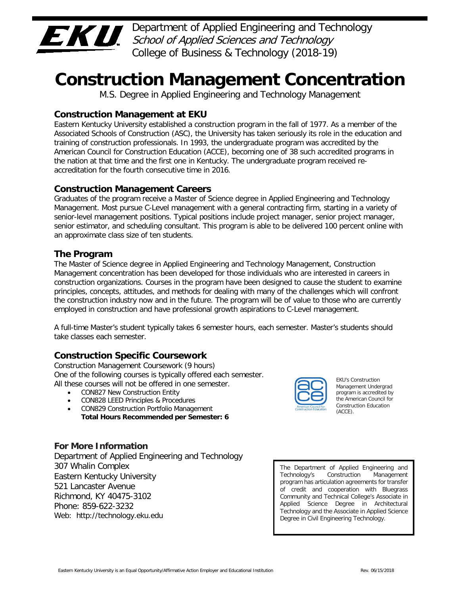

 Department of Applied Engineering and Technology College of Business & Technology (2018-19) School of Applied Sciences and Technology

# **Construction Management Concentration**

M.S. Degree in Applied Engineering and Technology Management

# **Construction Management at EKU**

 Eastern Kentucky University established a construction program in the fall of 1977. As a member of the Associated Schools of Construction (ASC), the University has taken seriously its role in the education and training of construction professionals. In 1993, the undergraduate program was accredited by the American Council for Construction Education (ACCE), becoming one of 38 such accredited programs in the nation at that time and the first one in Kentucky. The undergraduate program received re-accreditation for the fourth consecutive time in 2016.

# **Construction Management Careers**

 Graduates of the program receive a Master of Science degree in Applied Engineering and Technology Management. Most pursue C-Level management with a general contracting firm, starting in a variety of senior-level management positions. Typical positions include project manager, senior project manager, senior estimator, and scheduling consultant. This program is able to be delivered 100 percent online with an approximate class size of ten students.

# **The Program**

 The Master of Science degree in Applied Engineering and Technology Management, Construction Management concentration has been developed for those individuals who are interested in careers in construction organizations. Courses in the program have been designed to cause the student to examine principles, concepts, attitudes, and methods for dealing with many of the challenges which will confront the construction industry now and in the future. The program will be of value to those who are currently employed in construction and have professional growth aspirations to C-Level management.

 A full-time Master's student typically takes 6 semester hours, each semester. Master's students should take classes each semester.

# **Construction Specific Coursework**

 Construction Management Coursework (9 hours) One of the following courses is typically offered each semester.<br>All these courses will not be offered in one semester.<br>
All these courses will not be offered in one semester. All these courses will not be offered in one semester.

- CON827 New Construction Entity
- CON828 LEED Principles & Procedures
- CON828 LEED Principles & Procedures Construction Education Education Education Education Education Education Education Education Education Education Education Education Education Education Education Education Education E **Total Hours Recommended per Semester: 6**

 program is accredited by the American Council for

#### **For More Information**

 Department of Applied Engineering and Technology Eastern Kentucky University 521 Lancaster Avenue Richmond, KY 40475-3102 Web: http://technology.eku.edu 307 Whalin Complex Phone: 859-622-3232

 of credit and cooperation with Bluegrass Community and Technical College's Associate in Applied Science Degree in Architectural Degree in Civil Engineering Technology. The Department of Applied Engineering and Technology's Construction Management program has articulation agreements for transfer Technology and the Associate in Applied Science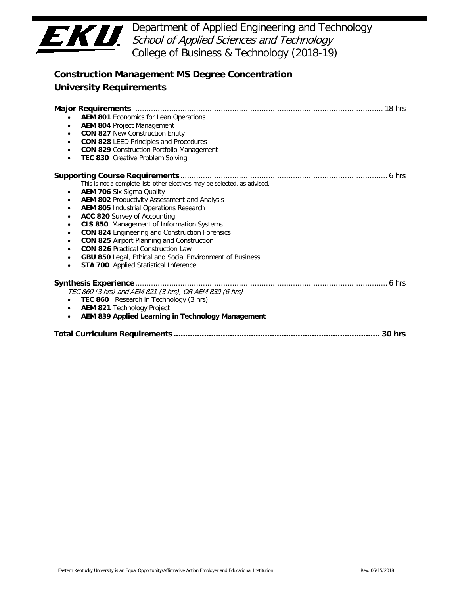

 Department of Applied Engineering and Technology College of Business & Technology (2018-19) School of Applied Sciences and Technology

| <b>Construction Management MS Degree Concentration</b>                                                                                                                                                                                                                                                                                                                                                                                                                                                                                                                                                                                                                                               |
|------------------------------------------------------------------------------------------------------------------------------------------------------------------------------------------------------------------------------------------------------------------------------------------------------------------------------------------------------------------------------------------------------------------------------------------------------------------------------------------------------------------------------------------------------------------------------------------------------------------------------------------------------------------------------------------------------|
| <b>University Requirements</b>                                                                                                                                                                                                                                                                                                                                                                                                                                                                                                                                                                                                                                                                       |
| <b>AEM 801 Economics for Lean Operations</b><br>AEM 804 Project Management<br>$\bullet$<br><b>CON 827 New Construction Entity</b><br>$\bullet$<br><b>CON 828 LEED Principles and Procedures</b><br>$\bullet$<br><b>CON 829 Construction Portfolio Management</b><br>$\bullet$<br>TEC 830 Creative Problem Solving<br>$\bullet$                                                                                                                                                                                                                                                                                                                                                                       |
| This is not a complete list; other electives may be selected, as advised.<br><b>AEM 706</b> Six Sigma Quality<br>$\bullet$<br>AEM 802 Productivity Assessment and Analysis<br>$\bullet$<br><b>AEM 805 Industrial Operations Research</b><br>$\bullet$<br>ACC 820 Survey of Accounting<br>$\bullet$<br>CIS 850 Management of Information Systems<br>$\bullet$<br><b>CON 824 Engineering and Construction Forensics</b><br>$\bullet$<br><b>CON 825 Airport Planning and Construction</b><br>$\bullet$<br><b>CON 826 Practical Construction Law</b><br>$\bullet$<br>GBU 850 Legal, Ethical and Social Environment of Business<br>$\bullet$<br><b>STA 700</b> Applied Statistical Inference<br>$\bullet$ |
| TEC 860 (3 hrs) and AEM 821 (3 hrs), OR AEM 839 (6 hrs)<br>TEC 860 Research in Technology (3 hrs)<br>• AEM 821 Technology Project<br>AEM 839 Applied Learning in Technology Management<br>$\bullet$                                                                                                                                                                                                                                                                                                                                                                                                                                                                                                  |
|                                                                                                                                                                                                                                                                                                                                                                                                                                                                                                                                                                                                                                                                                                      |